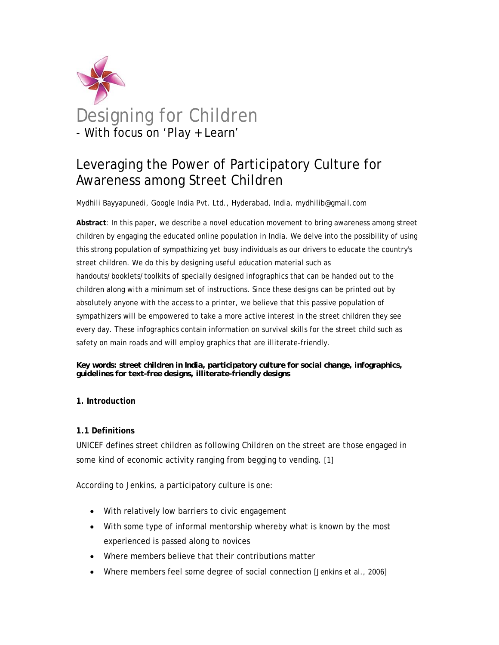

# Designing for Children - With focus on 'Play + Learn'

# Leveraging the Power of Participatory Culture for Awareness among Street Children

Mydhili Bayyapunedi, Google India Pvt. Ltd., Hyderabad, India, mydhilib@gmail.com

**Abstract**: In this paper, we describe a novel education movement to bring awareness among street children by engaging the educated online population in India. We delve into the possibility of using this strong population of sympathizing yet busy individuals as our drivers to educate the country's street children. We do this by designing useful education material such as handouts/booklets/toolkits of specially designed infographics that can be handed out to the children along with a minimum set of instructions. Since these designs can be printed out by absolutely anyone with the access to a printer, we believe that this passive population of sympathizers will be empowered to take a more active interest in the street children they see every day. These infographics contain information on survival skills for the street child such as safety on main roads and will employ graphics that are illiterate-friendly.

#### *Key words: street children in India, participatory culture for social change, infographics, guidelines for text-free designs, illiterate-friendly designs*

# **1. Introduction**

# **1.1 Definitions**

UNICEF defines street children as following Children on the street are those engaged in some kind of economic activity ranging from begging to vending. [1]

According to Jenkins, a participatory culture is one:

- With relatively low barriers to civic engagement
- With some type of informal mentorship whereby what is known by the most experienced is passed along to novices
- Where members believe that their contributions matter
- Where members feel some degree of social connection [Jenkins et al., 2006]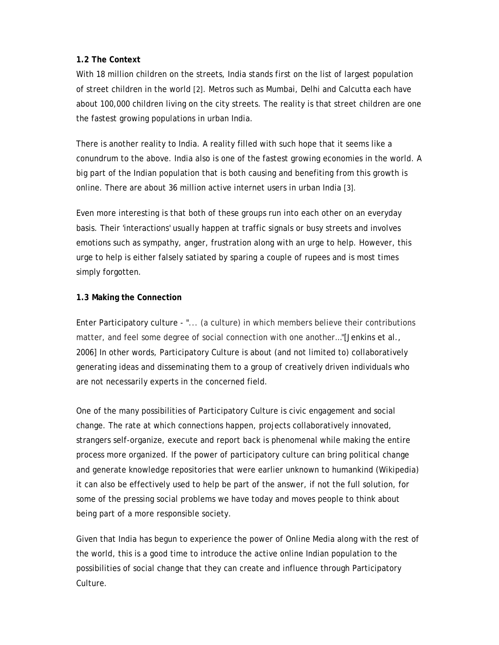#### **1.2 The Context**

With 18 million children on the streets, India stands first on the list of largest population of street children in the world [2]. Metros such as Mumbai, Delhi and Calcutta each have about 100,000 children living on the city streets. The reality is that street children are one the fastest growing populations in urban India.

There is another reality to India. A reality filled with such hope that it seems like a conundrum to the above. India also is one of the fastest growing economies in the world. A big part of the Indian population that is both causing and benefiting from this growth is online. There are about 36 million active internet users in urban India [3].

Even more interesting is that both of these groups run into each other on an everyday basis. Their 'interactions' usually happen at traffic signals or busy streets and involves emotions such as sympathy, anger, frustration along with an urge to help. However, this urge to help is either falsely satiated by sparing a couple of rupees and is most times simply forgotten.

# **1.3 Making the Connection**

Enter Participatory culture - "... (a culture) in which members believe their contributions matter, and feel some degree of social connection with one another…"[Jenkins et al., 2006] In other words, Participatory Culture is about (and not limited to) collaboratively generating ideas and disseminating them to a group of creatively driven individuals who are not necessarily experts in the concerned field.

One of the many possibilities of Participatory Culture is civic engagement and social change. The rate at which connections happen, projects collaboratively innovated, strangers self-organize, execute and report back is phenomenal while making the entire process more organized. If the power of participatory culture can bring political change and generate knowledge repositories that were earlier unknown to humankind (Wikipedia) it can also be effectively used to help be part of the answer, if not the full solution, for some of the pressing social problems we have today and moves people to think about being part of a more responsible society.

Given that India has begun to experience the power of Online Media along with the rest of the world, this is a good time to introduce the active online Indian population to the possibilities of social change that they can create and influence through Participatory Culture.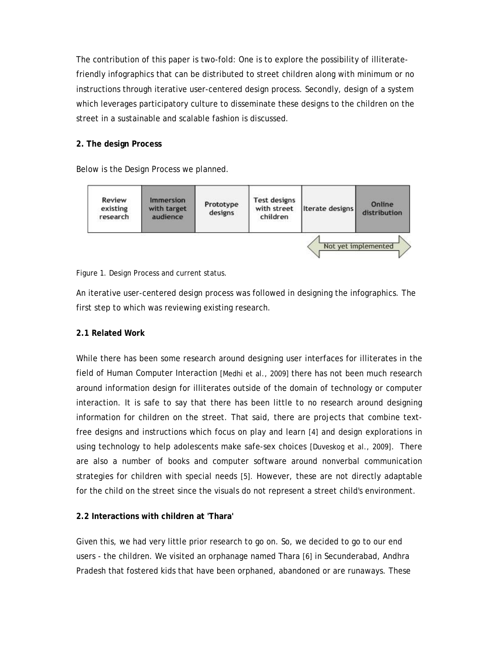The contribution of this paper is two-fold: One is to explore the possibility of illiteratefriendly infographics that can be distributed to street children along with minimum or no instructions through iterative user-centered design process. Secondly, design of a system which leverages participatory culture to disseminate these designs to the children on the street in a sustainable and scalable fashion is discussed.

# **2. The design Process**

Below is the Design Process we planned.



Figure 1. Design Process and current status.

An iterative user-centered design process was followed in designing the infographics. The first step to which was reviewing existing research.

# **2.1 Related Work**

While there has been some research around designing user interfaces for illiterates in the field of Human Computer Interaction [Medhi et al., 2009] there has not been much research around information design for illiterates outside of the domain of technology or computer interaction. It is safe to say that there has been little to no research around designing information for children on the street. That said, there are projects that combine textfree designs and instructions which focus on play and learn [4] and design explorations in using technology to help adolescents make safe-sex choices [Duveskog et al., 2009]. There are also a number of books and computer software around nonverbal communication strategies for children with special needs [5]. However, these are not directly adaptable for the child on the street since the visuals do not represent a street child's environment.

# **2.2 Interactions with children at 'Thara'**

Given this, we had very little prior research to go on. So, we decided to go to our end users - the children. We visited an orphanage named Thara [6] in Secunderabad, Andhra Pradesh that fostered kids that have been orphaned, abandoned or are runaways. These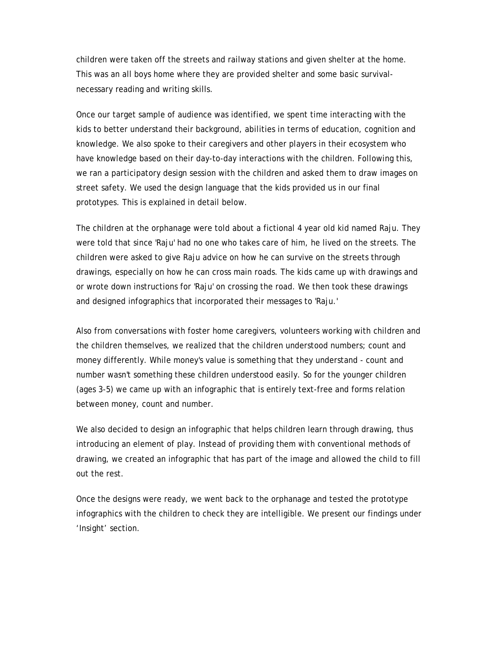children were taken off the streets and railway stations and given shelter at the home. This was an all boys home where they are provided shelter and some basic survivalnecessary reading and writing skills.

Once our target sample of audience was identified, we spent time interacting with the kids to better understand their background, abilities in terms of education, cognition and knowledge. We also spoke to their caregivers and other players in their ecosystem who have knowledge based on their day-to-day interactions with the children. Following this, we ran a participatory design session with the children and asked them to draw images on street safety. We used the design language that the kids provided us in our final prototypes. This is explained in detail below.

The children at the orphanage were told about a fictional 4 year old kid named Raju. They were told that since 'Raju' had no one who takes care of him, he lived on the streets. The children were asked to give Raju advice on how he can survive on the streets through drawings, especially on how he can cross main roads. The kids came up with drawings and or wrote down instructions for 'Raju' on crossing the road. We then took these drawings and designed infographics that incorporated their messages to 'Raju.'

Also from conversations with foster home caregivers, volunteers working with children and the children themselves, we realized that the children understood numbers; count and money differently. While money's value is something that they understand - count and number wasn't something these children understood easily. So for the younger children (ages 3-5) we came up with an infographic that is entirely text-free and forms relation between money, count and number.

We also decided to design an infographic that helps children learn through drawing, thus introducing an element of play. Instead of providing them with conventional methods of drawing, we created an infographic that has part of the image and allowed the child to fill out the rest.

Once the designs were ready, we went back to the orphanage and tested the prototype infographics with the children to check they are intelligible. We present our findings under 'Insight' section.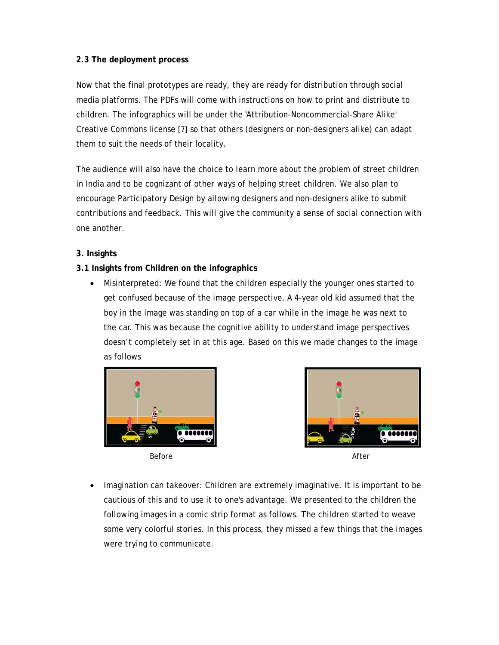#### **2.3 The deployment process**

Now that the final prototypes are ready, they are ready for distribution through social media platforms. The PDFs will come with instructions on how to print and distribute to children. The infographics will be under the 'Attribution-Noncommercial-Share Alike' Creative Commons license [7] so that others (designers or non-designers alike) can adapt them to suit the needs of their locality.

The audience will also have the choice to learn more about the problem of street children in India and to be cognizant of other ways of helping street children. We also plan to encourage Participatory Design by allowing designers and non-designers alike to submit contributions and feedback. This will give the community a sense of social connection with one another.

# **3. Insights**

# **3.1 Insights from Children on the infographics**

• Misinterpreted: We found that the children especially the younger ones started to get confused because of the image perspective. A 4-year old kid assumed that the boy in the image was standing on top of a car while in the image he was next to the car. This was because the cognitive ability to understand image perspectives doesn't completely set in at this age. Based on this we made changes to the image as follows



Before and the contract of the contract of the contract of the contract of the contract of the contract of the contract of the contract of the contract of the contract of the contract of the contract of the contract of the



• Imagination can takeover: Children are extremely imaginative. It is important to be cautious of this and to use it to one's advantage. We presented to the children the following images in a comic strip format as follows. The children started to weave some very colorful stories. In this process, they missed a few things that the images were trying to communicate.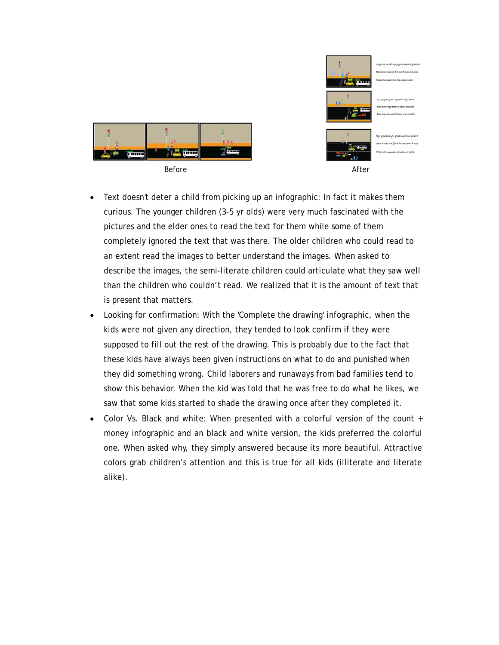

.<br>బ్రాల్ ఎక్ర రంగులో ఉన్నప్పుడు మాత్రవే .<br>प्रसन्न प्रसन्न अलाम देश भी हो तथा ही कड़का पाद करतम d when the signal is red



.<br>కోర్టు పై రక్షి ఉన్నప్పురు పెద్దవారికోని కోర్టు రాటాకి .<br>बाह्य में अगर बहुत ट्रेफिक हो वही की मद्या मांगे  $-1888$  =  $-1888$ 



सहक ये चाहते वक्त हैफिक के इल्हा सरक में जाओ





- Text doesn't deter a child from picking up an infographic: In fact it makes them curious. The younger children (3-5 yr olds) were very much fascinated with the pictures and the elder ones to read the text for them while some of them completely ignored the text that was there. The older children who could read to an extent read the images to better understand the images. When asked to describe the images, the semi-literate children could articulate what they saw well than the children who couldn't read. We realized that it is the amount of text that is present that matters.
- Looking for confirmation: With the 'Complete the drawing' infographic, when the kids were not given any direction, they tended to look confirm if they were supposed to fill out the rest of the drawing. This is probably due to the fact that these kids have always been given instructions on what to do and punished when they did something wrong. Child laborers and runaways from bad families tend to show this behavior. When the kid was told that he was free to do what he likes, we saw that some kids started to shade the drawing once after they completed it.
- Color Vs. Black and white: When presented with a colorful version of the count + money infographic and an black and white version, the kids preferred the colorful one. When asked why, they simply answered because its more beautiful. Attractive colors grab children's attention and this is true for all kids (illiterate and literate alike).

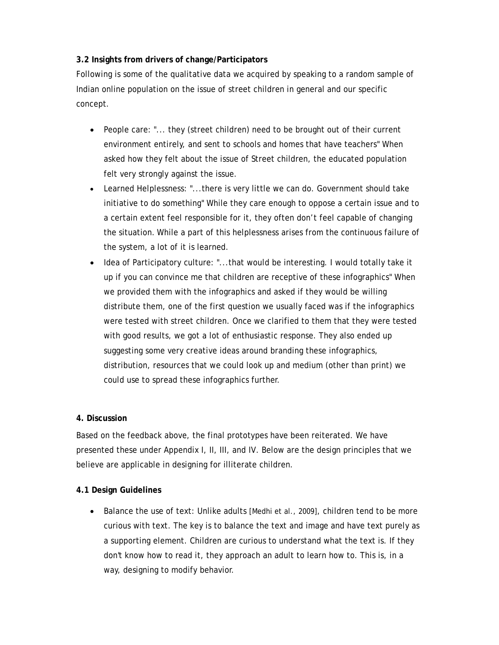# **3.2 Insights from drivers of change/Participators**

Following is some of the qualitative data we acquired by speaking to a random sample of Indian online population on the issue of street children in general and our specific concept.

- People care: "... they (street children) need to be brought out of their current environment entirely, and sent to schools and homes that have teachers" When asked how they felt about the issue of Street children, the educated population felt very strongly against the issue.
- Learned Helplessness: "...there is very little we can do. Government should take initiative to do something" While they care enough to oppose a certain issue and to a certain extent feel responsible for it, they often don't feel capable of changing the situation. While a part of this helplessness arises from the continuous failure of the system, a lot of it is learned.
- Idea of Participatory culture: "...that would be interesting. I would totally take it up if you can convince me that children are receptive of these infographics" When we provided them with the infographics and asked if they would be willing distribute them, one of the first question we usually faced was if the infographics were tested with street children. Once we clarified to them that they were tested with good results, we got a lot of enthusiastic response. They also ended up suggesting some very creative ideas around branding these infographics, distribution, resources that we could look up and medium (other than print) we could use to spread these infographics further.

# **4. Discussion**

Based on the feedback above, the final prototypes have been reiterated. We have presented these under Appendix I, II, III, and IV. Below are the design principles that we believe are applicable in designing for illiterate children.

# **4.1 Design Guidelines**

• Balance the use of text: Unlike adults [Medhi et al., 2009], children tend to be more curious with text. The key is to balance the text and image and have text purely as a supporting element. Children are curious to understand what the text is. If they don't know how to read it, they approach an adult to learn how to. This is, in a way, designing to modify behavior.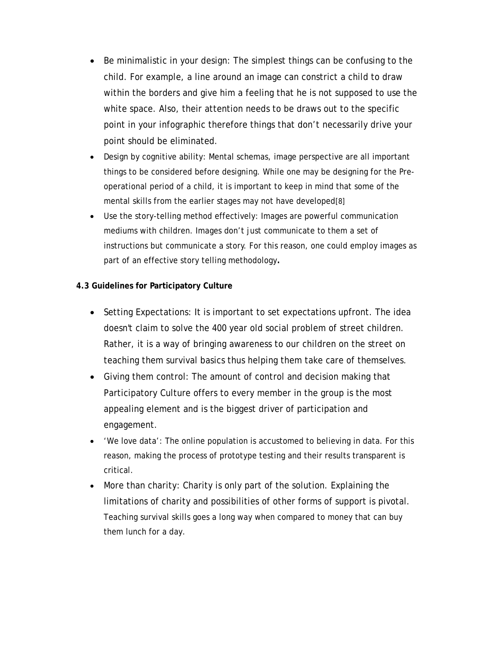- Be minimalistic in your design: The simplest things can be confusing to the child. For example, a line around an image can constrict a child to draw within the borders and give him a feeling that he is not supposed to use the white space. Also, their attention needs to be draws out to the specific point in your infographic therefore things that don't necessarily drive your point should be eliminated.
- Design by cognitive ability: Mental schemas, image perspective are all important things to be considered before designing. While one may be designing for the Preoperational period of a child, it is important to keep in mind that some of the mental skills from the earlier stages may not have developed[8]
- Use the story-telling method effectively: Images are powerful communication mediums with children. Images don't just communicate to them a set of instructions but communicate a story. For this reason, one could employ images as part of an effective story telling methodology**.**

# **4.3 Guidelines for Participatory Culture**

- Setting Expectations: It is important to set expectations upfront. The idea doesn't claim to solve the 400 year old social problem of street children. Rather, it is a way of bringing awareness to our children on the street on teaching them survival basics thus helping them take care of themselves.
- Giving them control: The amount of control and decision making that Participatory Culture offers to every member in the group is the most appealing element and is the biggest driver of participation and engagement.
- 'We love data': The online population is accustomed to believing in data. For this reason, making the process of prototype testing and their results transparent is critical.
- More than charity: Charity is only part of the solution. Explaining the limitations of charity and possibilities of other forms of support is pivotal. Teaching survival skills goes a long way when compared to money that can buy them lunch for a day.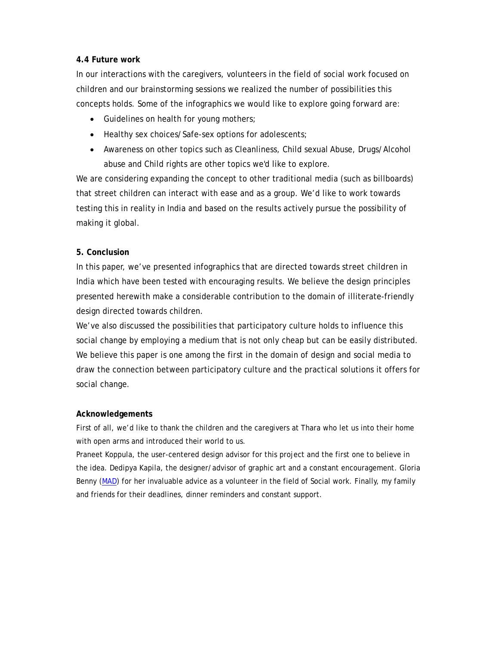#### **4.4 Future work**

In our interactions with the caregivers, volunteers in the field of social work focused on children and our brainstorming sessions we realized the number of possibilities this concepts holds. Some of the infographics we would like to explore going forward are:

- Guidelines on health for young mothers;
- Healthy sex choices/Safe-sex options for adolescents;
- Awareness on other topics such as Cleanliness, Child sexual Abuse, Drugs/Alcohol abuse and Child rights are other topics we'd like to explore.

We are considering expanding the concept to other traditional media (such as billboards) that street children can interact with ease and as a group. We'd like to work towards testing this in reality in India and based on the results actively pursue the possibility of making it global.

#### **5. Conclusion**

In this paper, we've presented infographics that are directed towards street children in India which have been tested with encouraging results. We believe the design principles presented herewith make a considerable contribution to the domain of illiterate-friendly design directed towards children.

We've also discussed the possibilities that participatory culture holds to influence this social change by employing a medium that is not only cheap but can be easily distributed. We believe this paper is one among the first in the domain of design and social media to draw the connection between participatory culture and the practical solutions it offers for social change.

#### **Acknowledgements**

First of all, we'd like to thank the children and the caregivers at Thara who let us into their home with open arms and introduced their world to us.

Praneet Koppula, the user-centered design advisor for this project and the first one to believe in the idea. Dedipya Kapila, the designer/advisor of graphic art and a constant encouragement. Gloria Benny (MAD) for her invaluable advice as a volunteer in the field of Social work. Finally, my family and friends for their deadlines, dinner reminders and constant support.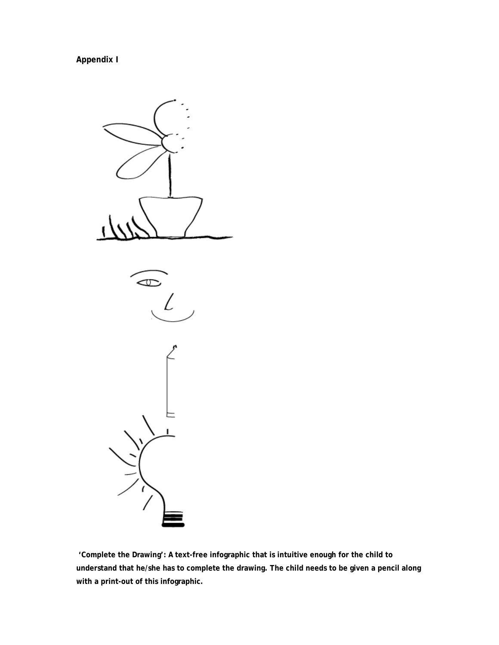**Appendix I**



 **'Complete the Drawing': A text-free infographic that is intuitive enough for the child to understand that he/she has to complete the drawing. The child needs to be given a pencil along with a print-out of this infographic.**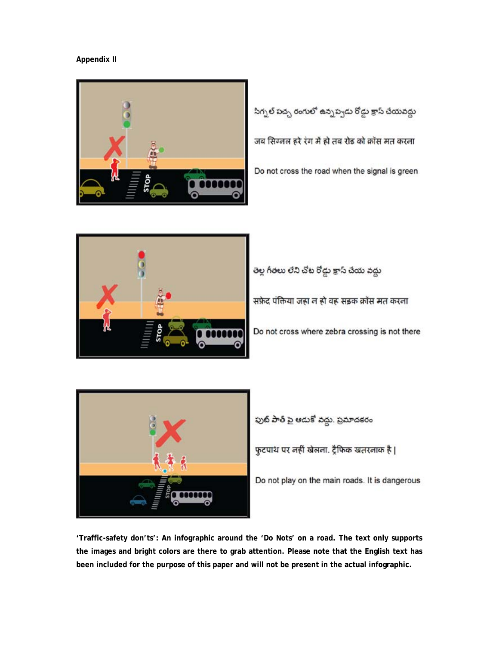**Appendix II** 



సిగ్నల్ పచ్చ రంగులో ఉన్నప్పడు రోడ్డు క్రాస్ చేయవద్దు जब सिग्नल हरे रंग में हो तब रोड को क्रॉस मत करना Do not cross the road when the signal is green



తెల్ల గీతలు లేని చోట రోడ్డు క్రాస్ చేయ వద్దు

सफ़ेद पंक्तिया जहा न हो वह सड़क क्रॉस मत करना

Do not cross where zebra crossing is not there



పుట్ పాత్ పై ఆడుకో వద్దు. ప్రమాదకరం

फुटपाथ पर नहीं खेलना. ट्रैफिक खतरनाक है।

Do not play on the main roads. It is dangerous

**'Traffic-safety don'ts': An infographic around the 'Do Nots' on a road. The text only supports the images and bright colors are there to grab attention. Please note that the English text has been included for the purpose of this paper and will not be present in the actual infographic.**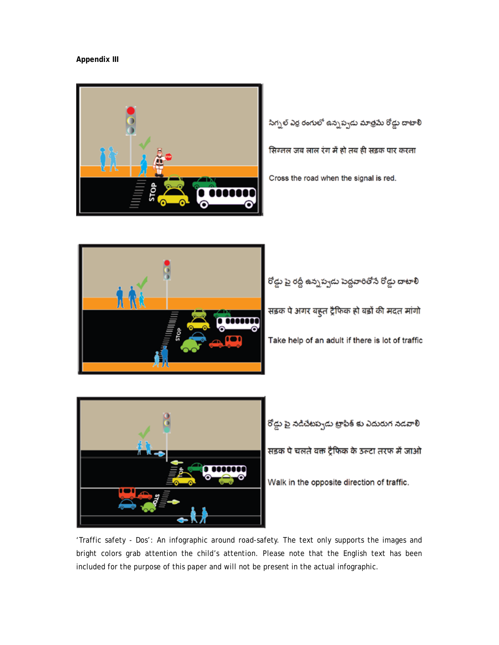#### **Appendix III**



సిగ్నల్ ఎర్ర రంగులో ఉన్నప్పడు మాత్రమే రోడ్డు దాటాలి

सिग्नल जब लाल रंग में हो तब ही सड़क पार करना

Cross the road when the signal is red.



రోడ్డు పై రద్దీ ఉన్నప్పదు పెద్దవారితోనే రోడ్డు దాటాలి सड़क पे अगर बहुत ट्रैफिक हो बड़ों की मदत मांगो Take help of an adult if there is lot of traffic



.<br>రోడ్డు పై నడిచేటప్పడు ట్రాఫిక్ కు ఎదురుగ నడవాలి सड़क पे चलते वक्त ट्रैफिक के उल्टा तरफ में जाओ Walk in the opposite direction of traffic.

'Traffic safety - Dos': An infographic around road-safety. The text only supports the images and bright colors grab attention the child's attention. Please note that the English text has been included for the purpose of this paper and will not be present in the actual infographic.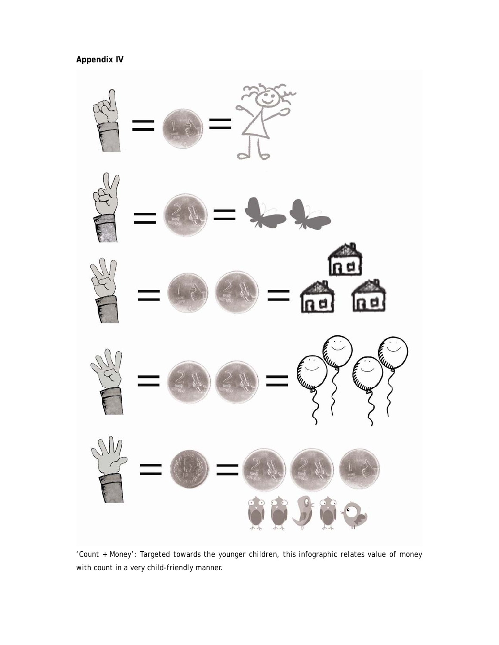

'Count + Money': Targeted towards the younger children, this infographic relates value of money with count in a very child-friendly manner.